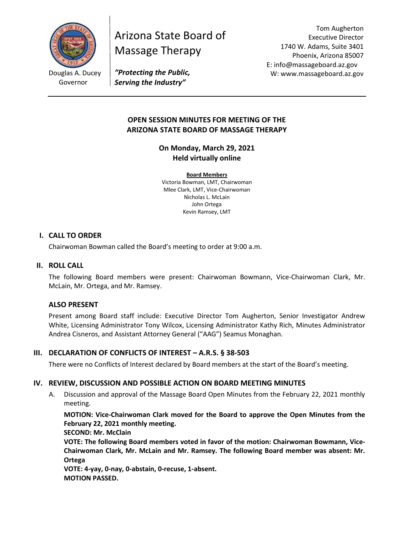

Douglas A. Ducey Governor

# Arizona State Board of Massage Therapy

Tom Augherton Executive Director 1740 W. Adams, Suite 3401 Phoenix, Arizona 85007 E: info@massageboard.az.gov W: www.massageboard.az.gov

*"Protecting the Public, Serving the Industry"*

# **OPEN SESSION MINUTES FOR MEETING OF THE ARIZONA STATE BOARD OF MASSAGE THERAPY**

**On Monday, March 29, 2021 Held virtually online** 

**Board Members** Victoria Bowman, LMT, Chairwoman Mlee Clark, LMT, Vice-Chairwoman Nicholas L. McLain John Ortega Kevin Ramsey, LMT

# **I. CALL TO ORDER**

Chairwoman Bowman called the Board's meeting to order at 9:00 a.m.

## **II. ROLL CALL**

The following Board members were present: Chairwoman Bowmann, Vice-Chairwoman Clark, Mr. McLain, Mr. Ortega, and Mr. Ramsey.

# **ALSO PRESENT**

Present among Board staff include: Executive Director Tom Augherton, Senior Investigator Andrew White, Licensing Administrator Tony Wilcox, Licensing Administrator Kathy Rich, Minutes Administrator Andrea Cisneros, and Assistant Attorney General ("AAG") Seamus Monaghan.

# **III. DECLARATION OF CONFLICTS OF INTEREST – A.R.S. § 38-503**

There were no Conflicts of Interest declared by Board members at the start of the Board's meeting.

# **IV. REVIEW, DISCUSSION AND POSSIBLE ACTION ON BOARD MEETING MINUTES**

A. Discussion and approval of the Massage Board Open Minutes from the February 22, 2021 monthly meeting.

**MOTION: Vice-Chairwoman Clark moved for the Board to approve the Open Minutes from the February 22, 2021 monthly meeting.** 

**SECOND: Mr. McClain**

**VOTE: The following Board members voted in favor of the motion: Chairwoman Bowmann, Vice-Chairwoman Clark, Mr. McLain and Mr. Ramsey. The following Board member was absent: Mr. Ortega** 

**VOTE: 4-yay, 0-nay, 0-abstain, 0-recuse, 1-absent. MOTION PASSED.**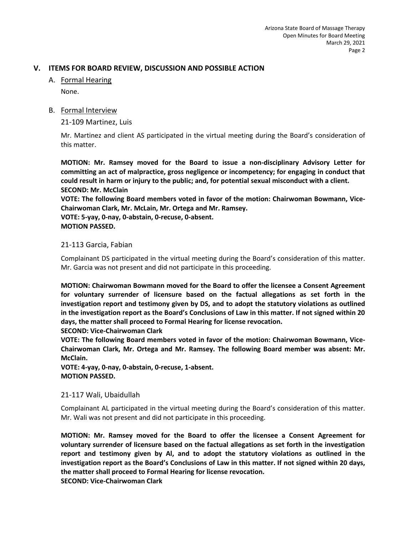# **V. ITEMS FOR BOARD REVIEW, DISCUSSION AND POSSIBLE ACTION**

# A. Formal Hearing

None.

# B. Formal Interview

21-109 Martinez, Luis

Mr. Martinez and client AS participated in the virtual meeting during the Board's consideration of this matter.

**MOTION: Mr. Ramsey moved for the Board to issue a non-disciplinary Advisory Letter for committing an act of malpractice, gross negligence or incompetency; for engaging in conduct that could result in harm or injury to the public; and, for potential sexual misconduct with a client. SECOND: Mr. McClain** 

**VOTE: The following Board members voted in favor of the motion: Chairwoman Bowmann, Vice-Chairwoman Clark, Mr. McLain, Mr. Ortega and Mr. Ramsey.**

**VOTE: 5-yay, 0-nay, 0-abstain, 0-recuse, 0-absent. MOTION PASSED.** 

## 21-113 Garcia, Fabian

Complainant DS participated in the virtual meeting during the Board's consideration of this matter. Mr. Garcia was not present and did not participate in this proceeding.

**MOTION: Chairwoman Bowmann moved for the Board to offer the licensee a Consent Agreement for voluntary surrender of licensure based on the factual allegations as set forth in the investigation report and testimony given by DS, and to adopt the statutory violations as outlined in the investigation report as the Board's Conclusions of Law in this matter. If not signed within 20 days, the matter shall proceed to Formal Hearing for license revocation.** 

**SECOND: Vice-Chairwoman Clark** 

**VOTE: The following Board members voted in favor of the motion: Chairwoman Bowmann, Vice-Chairwoman Clark, Mr. Ortega and Mr. Ramsey. The following Board member was absent: Mr. McClain.** 

**VOTE: 4-yay, 0-nay, 0-abstain, 0-recuse, 1-absent. MOTION PASSED.** 

#### 21-117 Wali, Ubaidullah

Complainant AL participated in the virtual meeting during the Board's consideration of this matter. Mr. Wali was not present and did not participate in this proceeding.

**MOTION: Mr. Ramsey moved for the Board to offer the licensee a Consent Agreement for voluntary surrender of licensure based on the factual allegations as set forth in the investigation report and testimony given by Al, and to adopt the statutory violations as outlined in the investigation report as the Board's Conclusions of Law in this matter. If not signed within 20 days, the matter shall proceed to Formal Hearing for license revocation. SECOND: Vice-Chairwoman Clark**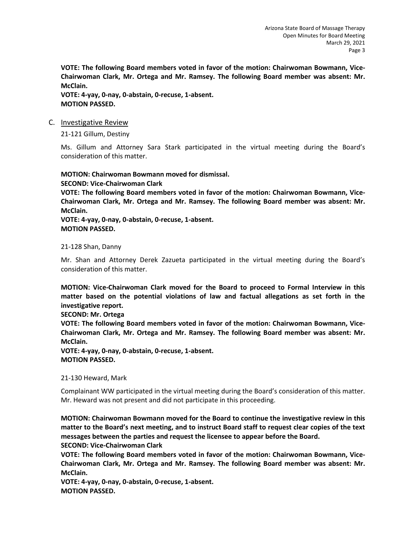**VOTE: The following Board members voted in favor of the motion: Chairwoman Bowmann, Vice-Chairwoman Clark, Mr. Ortega and Mr. Ramsey. The following Board member was absent: Mr. McClain.** 

**VOTE: 4-yay, 0-nay, 0-abstain, 0-recuse, 1-absent. MOTION PASSED.** 

#### C. Investigative Review

21-121 Gillum, Destiny

Ms. Gillum and Attorney Sara Stark participated in the virtual meeting during the Board's consideration of this matter.

**MOTION: Chairwoman Bowmann moved for dismissal. SECOND: Vice-Chairwoman Clark VOTE: The following Board members voted in favor of the motion: Chairwoman Bowmann, Vice-Chairwoman Clark, Mr. Ortega and Mr. Ramsey. The following Board member was absent: Mr. McClain. VOTE: 4-yay, 0-nay, 0-abstain, 0-recuse, 1-absent. MOTION PASSED.** 

## 21-128 Shan, Danny

Mr. Shan and Attorney Derek Zazueta participated in the virtual meeting during the Board's consideration of this matter.

**MOTION: Vice-Chairwoman Clark moved for the Board to proceed to Formal Interview in this matter based on the potential violations of law and factual allegations as set forth in the investigative report.** 

**SECOND: Mr. Ortega** 

**VOTE: The following Board members voted in favor of the motion: Chairwoman Bowmann, Vice-Chairwoman Clark, Mr. Ortega and Mr. Ramsey. The following Board member was absent: Mr. McClain.** 

**VOTE: 4-yay, 0-nay, 0-abstain, 0-recuse, 1-absent. MOTION PASSED.** 

21-130 Heward, Mark

Complainant WW participated in the virtual meeting during the Board's consideration of this matter. Mr. Heward was not present and did not participate in this proceeding.

**MOTION: Chairwoman Bowmann moved for the Board to continue the investigative review in this matter to the Board's next meeting, and to instruct Board staff to request clear copies of the text messages between the parties and request the licensee to appear before the Board. SECOND: Vice-Chairwoman Clark** 

**VOTE: The following Board members voted in favor of the motion: Chairwoman Bowmann, Vice-Chairwoman Clark, Mr. Ortega and Mr. Ramsey. The following Board member was absent: Mr. McClain.** 

**VOTE: 4-yay, 0-nay, 0-abstain, 0-recuse, 1-absent. MOTION PASSED.**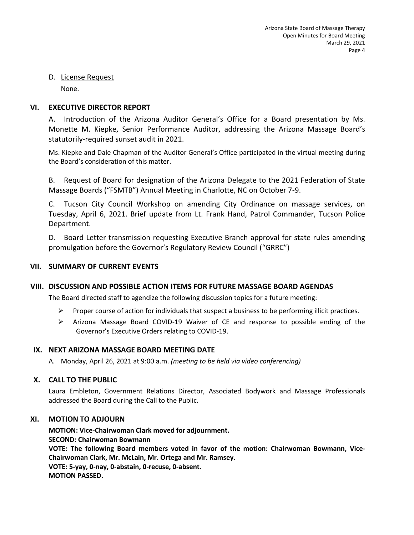# D. License Request

None.

# **VI. EXECUTIVE DIRECTOR REPORT**

A. Introduction of the Arizona Auditor General's Office for a Board presentation by Ms. Monette M. Kiepke, Senior Performance Auditor, addressing the Arizona Massage Board's statutorily-required sunset audit in 2021.

Ms. Kiepke and Dale Chapman of the Auditor General's Office participated in the virtual meeting during the Board's consideration of this matter.

B. Request of Board for designation of the Arizona Delegate to the 2021 Federation of State Massage Boards ("FSMTB") Annual Meeting in Charlotte, NC on October 7-9.

C. Tucson City Council Workshop on amending City Ordinance on massage services, on Tuesday, April 6, 2021. Brief update from Lt. Frank Hand, Patrol Commander, Tucson Police Department.

D. Board Letter transmission requesting Executive Branch approval for state rules amending promulgation before the Governor's Regulatory Review Council ("GRRC")

# **VII. SUMMARY OF CURRENT EVENTS**

# **VIII. DISCUSSION AND POSSIBLE ACTION ITEMS FOR FUTURE MASSAGE BOARD AGENDAS**

The Board directed staff to agendize the following discussion topics for a future meeting:

- **Proper course of action for individuals that suspect a business to be performing illicit practices.**
- $\triangleright$  Arizona Massage Board COVID-19 Waiver of CE and response to possible ending of the Governor's Executive Orders relating to COVID-19.

# **IX. NEXT ARIZONA MASSAGE BOARD MEETING DATE**

A. Monday, April 26, 2021 at 9:00 a.m. *(meeting to be held via video conferencing)*

# **X. CALL TO THE PUBLIC**

Laura Embleton, Government Relations Director, Associated Bodywork and Massage Professionals addressed the Board during the Call to the Public.

# **XI. MOTION TO ADJOURN**

**MOTION: Vice-Chairwoman Clark moved for adjournment. SECOND: Chairwoman Bowmann VOTE: The following Board members voted in favor of the motion: Chairwoman Bowmann, Vice-Chairwoman Clark, Mr. McLain, Mr. Ortega and Mr. Ramsey. VOTE: 5-yay, 0-nay, 0-abstain, 0-recuse, 0-absent. MOTION PASSED.**